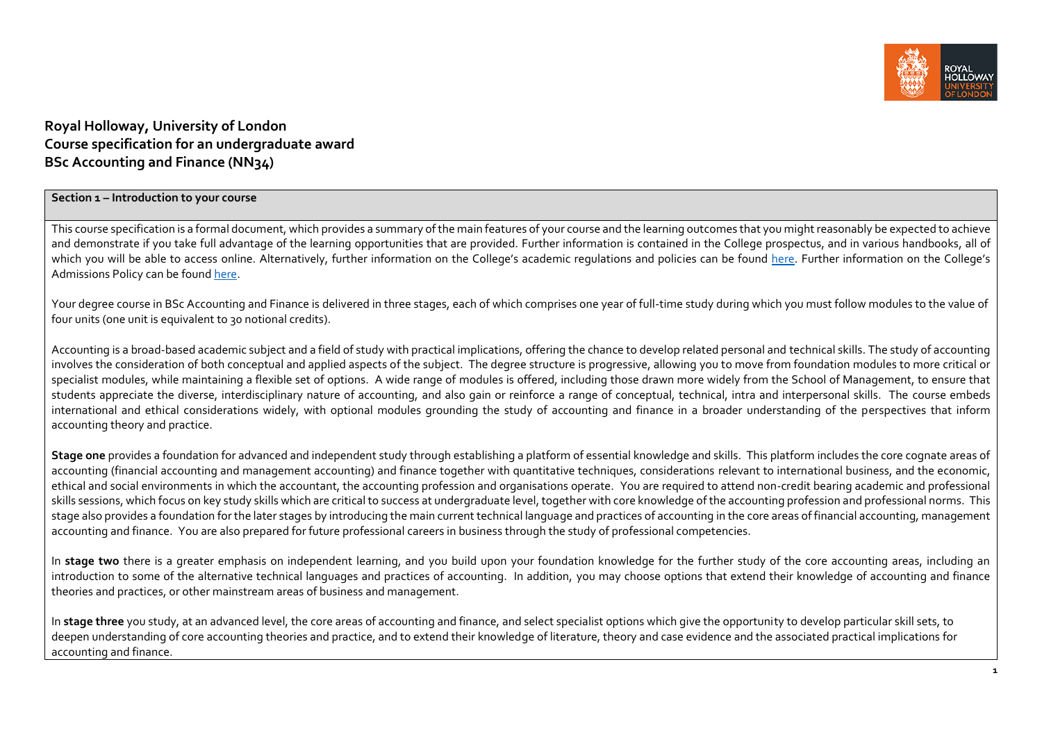

# **Royal Holloway, University of London Course specification for an undergraduate award BSc Accounting and Finance (NN34)**

#### **Section 1 – Introduction to your course**

This course specification is a formal document, which provides a summary of the main features of your course and the learning outcomes that you might reasonably be expected to achieve and demonstrate if you take full advantage of the learning opportunities that are provided. Further information is contained in the College prospectus, and in various handbooks, all of which you will be able to access online. Alternatively, further information on the College's academic regulations and policies can be found [here.](https://intranet.royalholloway.ac.uk/staff/teaching/aqpo/academic-regulations-and-policies/academic-regulations-and-policies.aspx) Further information on the College's Admissions Policy can be found [here.](https://www.royalholloway.ac.uk/studying-here/applying/admissions-policy-and-procedures/)

Your degree course in BSc Accounting and Finance is delivered in three stages, each of which comprises one year of full-time study during which you must follow modules to the value of four units (one unit is equivalent to 30 notional credits).

Accounting is a broad-based academic subject and a field of study with practical implications, offering the chance to develop related personal and technical skills. The study of accounting involves the consideration of both conceptual and applied aspects of the subject. The degree structure is progressive, allowing you to move from foundation modules to more critical or specialist modules, while maintaining a flexible set of options. A wide range of modules is offered, including those drawn more widely from the School of Management, to ensure that students appreciate the diverse, interdisciplinary nature of accounting, and also gain or reinforce a range of conceptual, technical, intra and interpersonal skills. The course embeds international and ethical considerations widely, with optional modules grounding the study of accounting and finance in a broader understanding of the perspectives that inform accounting theory and practice.

**Stage one** provides a foundation for advanced and independent study through establishing a platform of essential knowledge and skills. This platform includes the core cognate areas of accounting (financial accounting and management accounting) and finance together with quantitative techniques, considerations relevant to international business, and the economic, ethical and social environments in which the accountant, the accounting profession and organisations operate. You are required to attend non-credit bearing academic and professional skills sessions, which focus on key study skills which are critical to success at undergraduate level, together with core knowledge of the accounting profession and professional norms. This stage also provides a foundation for the later stages by introducing the main current technical language and practices of accounting in the core areas of financial accounting, management accounting and finance. You are also prepared for future professional careers in business through the study of professional competencies.

In stage two there is a greater emphasis on independent learning, and you build upon your foundation knowledge for the further study of the core accounting areas, including an introduction to some of the alternative technical languages and practices of accounting. In addition, you may choose options that extend their knowledge of accounting and finance theories and practices, or other mainstream areas of business and management.

In **stage three** you study, at an advanced level, the core areas of accounting and finance, and select specialist options which give the opportunity to develop particular skill sets, to deepen understanding of core accounting theories and practice, and to extend their knowledge of literature, theory and case evidence and the associated practical implications for accounting and finance.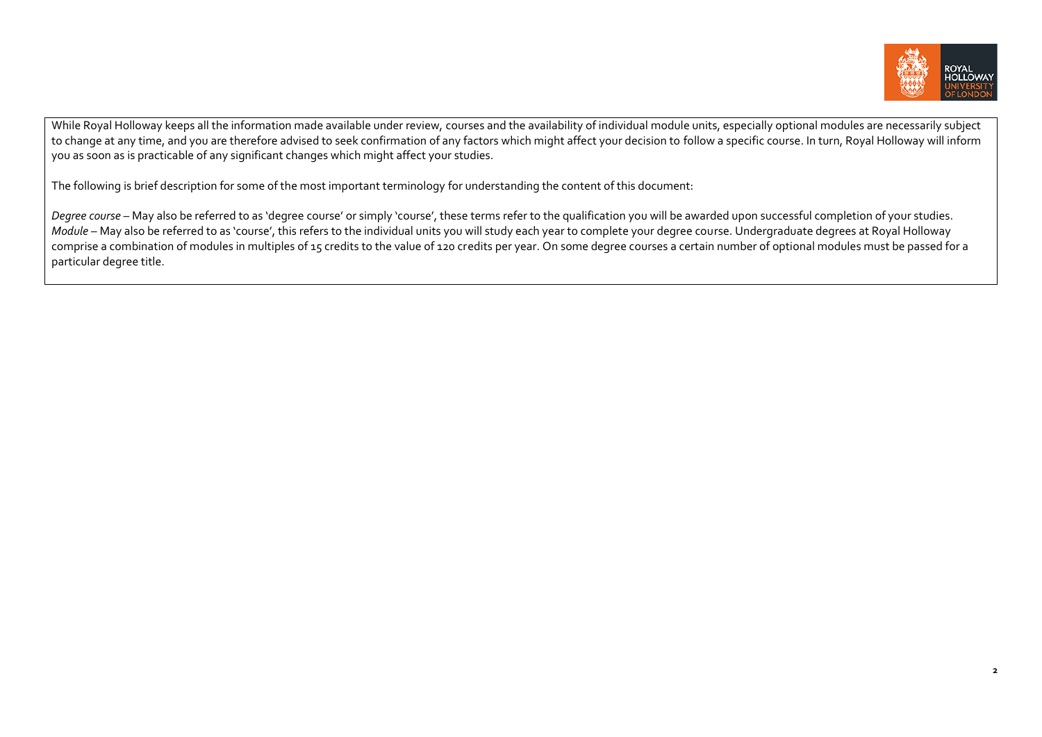

While Royal Holloway keeps all the information made available under review, courses and the availability of individual module units, especially optional modules are necessarily subject to change at any time, and you are therefore advised to seek confirmation of any factors which might affect your decision to follow a specific course. In turn, Royal Holloway will inform you as soon as is practicable of any significant changes which might affect your studies.

The following is brief description for some of the most important terminology for understanding the content of this document:

Degree course – May also be referred to as 'degree course' or simply 'course', these terms refer to the qualification you will be awarded upon successful completion of your studies. *Module* – May also be referred to as 'course', this refers to the individual units you will study each year to complete your degree course. Undergraduate degrees at Royal Holloway comprise a combination of modules in multiples of 15 credits to the value of 120 credits per year. On some degree courses a certain number of optional modules must be passed for a particular degree title.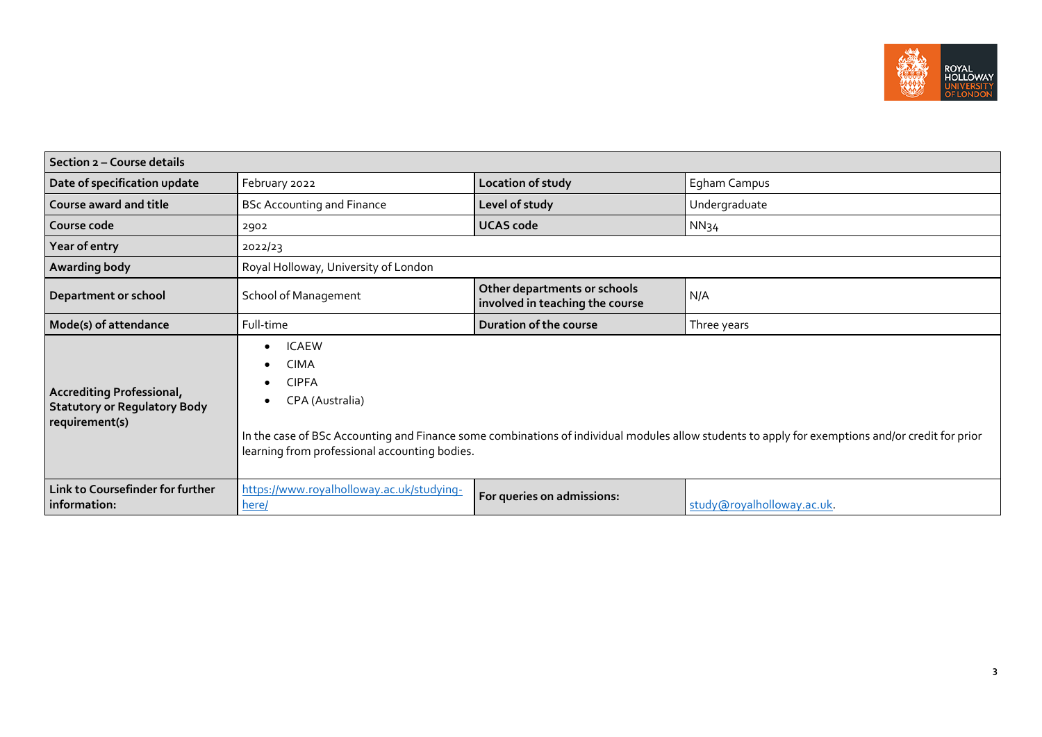

| Section 2 - Course details                                                                |                                                                                                                                                                                                                                                                                                                         |                                                                 |                            |  |  |  |
|-------------------------------------------------------------------------------------------|-------------------------------------------------------------------------------------------------------------------------------------------------------------------------------------------------------------------------------------------------------------------------------------------------------------------------|-----------------------------------------------------------------|----------------------------|--|--|--|
| Date of specification update<br>February 2022<br>Location of study                        |                                                                                                                                                                                                                                                                                                                         |                                                                 | Egham Campus               |  |  |  |
| Course award and title                                                                    | <b>BSc Accounting and Finance</b>                                                                                                                                                                                                                                                                                       | Level of study                                                  | Undergraduate              |  |  |  |
| Course code                                                                               | 2902                                                                                                                                                                                                                                                                                                                    | <b>UCAS code</b>                                                | NN <sub>34</sub>           |  |  |  |
| Year of entry                                                                             | 2022/23                                                                                                                                                                                                                                                                                                                 |                                                                 |                            |  |  |  |
| Awarding body                                                                             | Royal Holloway, University of London                                                                                                                                                                                                                                                                                    |                                                                 |                            |  |  |  |
| <b>School of Management</b><br>Department or school                                       |                                                                                                                                                                                                                                                                                                                         | Other departments or schools<br>involved in teaching the course | N/A                        |  |  |  |
| Mode(s) of attendance                                                                     | Full-time                                                                                                                                                                                                                                                                                                               | Duration of the course                                          | Three years                |  |  |  |
| <b>Accrediting Professional,</b><br><b>Statutory or Regulatory Body</b><br>requirement(s) | <b>ICAEW</b><br>$\bullet$<br><b>CIMA</b><br>$\bullet$<br><b>CIPFA</b><br>$\bullet$<br>CPA (Australia)<br>$\bullet$<br>In the case of BSc Accounting and Finance some combinations of individual modules allow students to apply for exemptions and/or credit for prior<br>learning from professional accounting bodies. |                                                                 |                            |  |  |  |
| Link to Coursefinder for further<br>information:                                          | https://www.royalholloway.ac.uk/studying-<br>here/                                                                                                                                                                                                                                                                      | For queries on admissions:                                      | study@royalholloway.ac.uk. |  |  |  |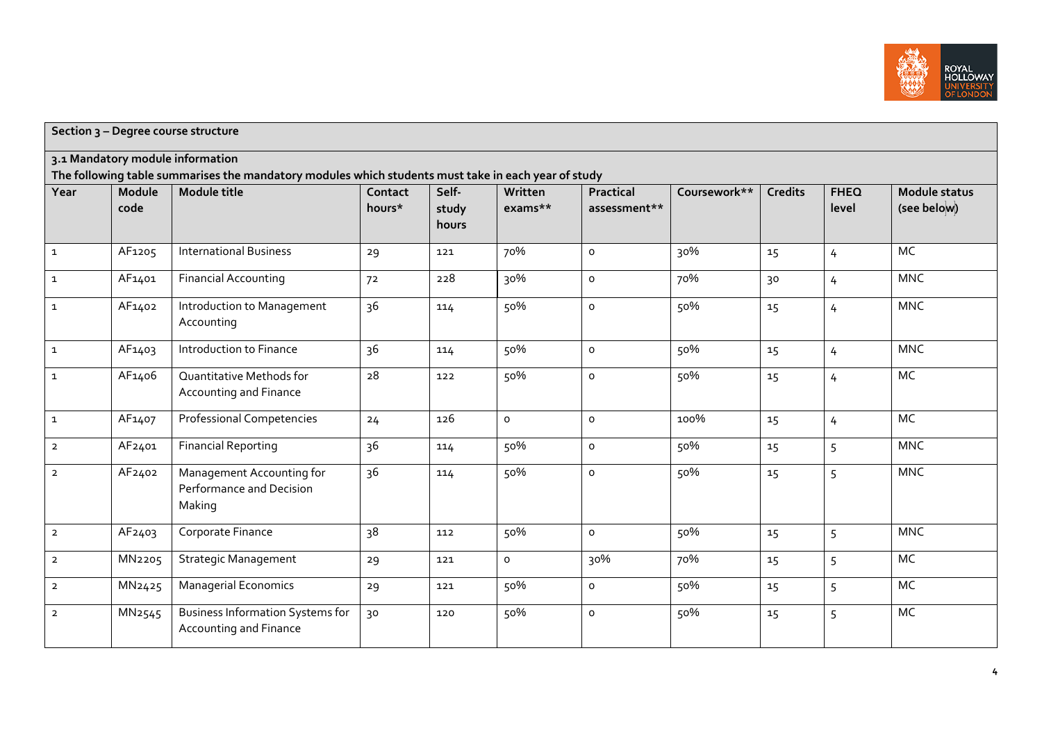

| Section 3 - Degree course structure                                                                                                     |                    |                                                                   |                   |                         |                    |                           |              |                |                      |                                     |
|-----------------------------------------------------------------------------------------------------------------------------------------|--------------------|-------------------------------------------------------------------|-------------------|-------------------------|--------------------|---------------------------|--------------|----------------|----------------------|-------------------------------------|
| 3.1 Mandatory module information<br>The following table summarises the mandatory modules which students must take in each year of study |                    |                                                                   |                   |                         |                    |                           |              |                |                      |                                     |
| Year                                                                                                                                    | Module<br>code     | Module title                                                      | Contact<br>hours* | Self-<br>study<br>hours | Written<br>exams** | Practical<br>assessment** | Coursework** | <b>Credits</b> | <b>FHEQ</b><br>level | <b>Module status</b><br>(see below) |
| $\mathbf 1$                                                                                                                             | AF1205             | <b>International Business</b>                                     | 29                | 121                     | 70%                | $\mathsf{o}$              | 30%          | 15             | 4                    | <b>MC</b>                           |
| $\mathbf{1}$                                                                                                                            | AF1401             | <b>Financial Accounting</b>                                       | 72                | 228                     | 30%                | $\circ$                   | 70%          | 30             | 4                    | <b>MNC</b>                          |
| $\mathbf{1}$                                                                                                                            | AF1402             | Introduction to Management<br>Accounting                          | 36                | 114                     | 50%                | $\circ$                   | 50%          | 15             | 4                    | <b>MNC</b>                          |
| $\mathbf{1}$                                                                                                                            | AF1403             | Introduction to Finance                                           | 36                | 114                     | 50%                | $\mathsf{o}\xspace$       | 50%          | 15             | 4                    | <b>MNC</b>                          |
| $\mathbf{1}$                                                                                                                            | AF1406             | Quantitative Methods for<br>Accounting and Finance                | 28                | 122                     | 50%                | $\circ$                   | 50%          | 15             | 4                    | MC                                  |
| $\mathbf 1$                                                                                                                             | AF1407             | <b>Professional Competencies</b>                                  | 24                | 126                     | $\circ$            | $\mathsf{o}\xspace$       | 100%         | 15             | 4                    | MC                                  |
| $\overline{2}$                                                                                                                          | AF2401             | <b>Financial Reporting</b>                                        | 36                | 114                     | 50%                | $\mathsf{o}$              | 50%          | 15             | 5                    | <b>MNC</b>                          |
| $\overline{2}$                                                                                                                          | AF2402             | Management Accounting for<br>Performance and Decision<br>Making   | 36                | 114                     | 50%                | $\mathsf{o}\xspace$       | 50%          | 15             | 5                    | <b>MNC</b>                          |
| $\mathbf{2}$                                                                                                                            | AF2403             | Corporate Finance                                                 | 38                | 112                     | 50%                | $\mathsf{o}\xspace$       | 50%          | 15             | 5                    | <b>MNC</b>                          |
| $\overline{2}$                                                                                                                          | MN2205             | <b>Strategic Management</b>                                       | 29                | 121                     | $\circ$            | 30%                       | 70%          | 15             | 5                    | MC                                  |
| $\overline{2}$                                                                                                                          | MN2425             | <b>Managerial Economics</b>                                       | 29                | 121                     | 50%                | $\mathsf{o}\xspace$       | 50%          | 15             | 5                    | MC                                  |
| $\overline{2}$                                                                                                                          | MN <sub>2545</sub> | <b>Business Information Systems for</b><br>Accounting and Finance | 30                | 120                     | 50%                | $\mathsf{o}\xspace$       | 50%          | 15             | 5                    | MC                                  |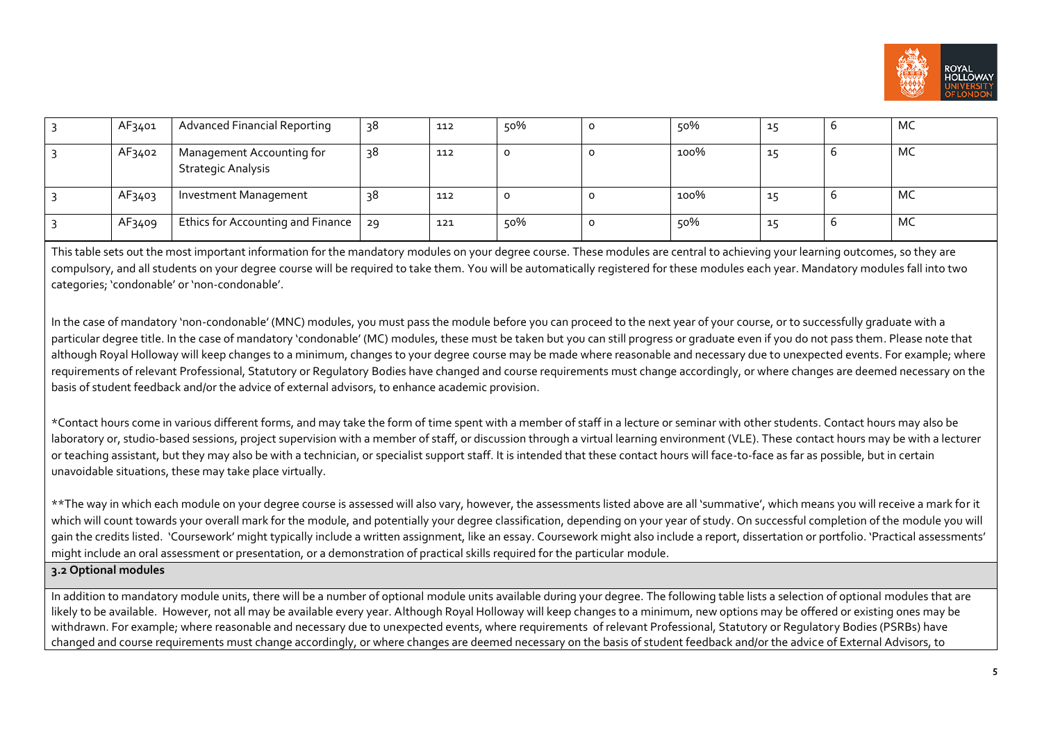

| AF3401 | <b>Advanced Financial Reporting</b>                    | 38 | 112 | 50%     | 50%  |          | MC |
|--------|--------------------------------------------------------|----|-----|---------|------|----------|----|
| AF3402 | Management Accounting for<br><b>Strategic Analysis</b> | 38 | 112 | $\circ$ | 100% | ᆠ        | MC |
| AF3403 | Investment Management                                  | 38 | 112 | $\circ$ | 100% |          | MC |
| AF3409 | Ethics for Accounting and Finance   29                 |    | 121 | 50%     | 50%  | <b>.</b> | MC |

This table sets out the most important information for the mandatory modules on your degree course. These modules are central to achieving your learning outcomes, so they are compulsory, and all students on your degree course will be required to take them. You will be automatically registered for these modules each year. Mandatory modules fall into two categories; 'condonable' or 'non-condonable'.

In the case of mandatory 'non-condonable' (MNC) modules, you must pass the module before you can proceed to the next year of your course, or to successfully graduate with a particular degree title. In the case of mandatory 'condonable' (MC) modules, these must be taken but you can still progress or graduate even if you do not pass them. Please note that although Royal Holloway will keep changes to a minimum, changes to your degree course may be made where reasonable and necessary due to unexpected events. For example, where requirements of relevant Professional, Statutory or Regulatory Bodies have changed and course requirements must change accordingly, or where changes are deemed necessary on the basis of student feedback and/or the advice of external advisors, to enhance academic provision.

\*Contact hours come in various different forms, and may take the form of time spent with a member of staff in a lecture or seminar with other students. Contact hours may also be laboratory or, studio-based sessions, project supervision with a member of staff, or discussion through a virtual learning environment (VLE). These contact hours may be with a lecturer or teaching assistant, but they may also be with a technician, or specialist support staff. It is intended that these contact hours will face-to-face as far as possible, but in certain unavoidable situations, these may take place virtually.

\*\*The way in which each module on your degree course is assessed will also vary, however, the assessments listed above are all 'summative', which means you will receive a mark for it which will count towards your overall mark for the module, and potentially your degree classification, depending on your year of study. On successful completion of the module you will gain the credits listed. 'Coursework' might typically include a written assignment, like an essay. Coursework might also include a report, dissertation or portfolio. 'Practical assessments' might include an oral assessment or presentation, or a demonstration of practical skills required for the particular module.

#### **3.2 Optional modules**

In addition to mandatory module units, there will be a number of optional module units available during your degree. The following table lists a selection of optional modules that are likely to be available. However, not all may be available every year. Although Royal Holloway will keep changes to a minimum, new options may be offered or existing ones may be withdrawn. For example; where reasonable and necessary due to unexpected events, where requirements of relevant Professional, Statutory or Regulatory Bodies (PSRBs) have changed and course requirements must change accordingly, or where changes are deemed necessary on the basis of student feedback and/or the advice of External Advisors, to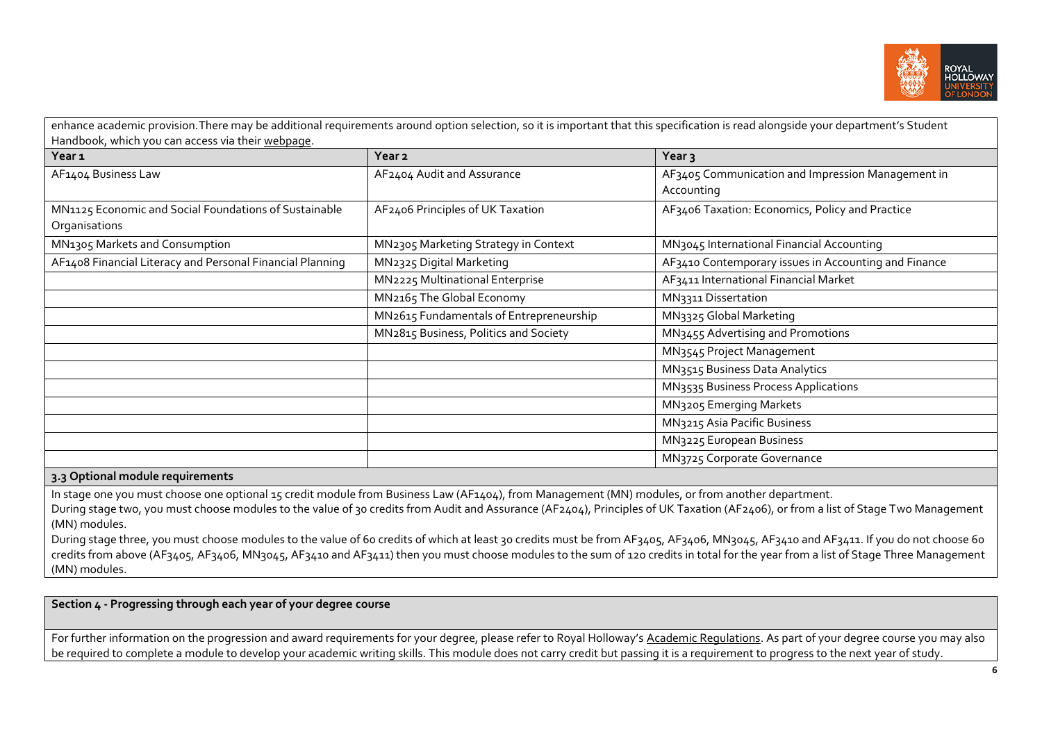

| Year <sub>1</sub>                                                      | Year <sub>2</sub>                       | Year <sub>3</sub>                                               |
|------------------------------------------------------------------------|-----------------------------------------|-----------------------------------------------------------------|
| AF1404 Business Law                                                    | AF2404 Audit and Assurance              | AF3405 Communication and Impression Management in<br>Accounting |
| MN1125 Economic and Social Foundations of Sustainable<br>Organisations | AF2406 Principles of UK Taxation        | AF3406 Taxation: Economics, Policy and Practice                 |
| MN1305 Markets and Consumption                                         | MN2305 Marketing Strategy in Context    | MN3045 International Financial Accounting                       |
| AF1408 Financial Literacy and Personal Financial Planning              | MN2325 Digital Marketing                | AF3410 Contemporary issues in Accounting and Finance            |
|                                                                        | MN2225 Multinational Enterprise         | AF3411 International Financial Market                           |
|                                                                        | MN2165 The Global Economy               | MN3311 Dissertation                                             |
|                                                                        | MN2615 Fundamentals of Entrepreneurship | MN3325 Global Marketing                                         |
|                                                                        | MN2815 Business, Politics and Society   | MN3455 Advertising and Promotions                               |
|                                                                        |                                         | MN3545 Project Management                                       |
|                                                                        |                                         | MN3515 Business Data Analytics                                  |
|                                                                        |                                         | MN3535 Business Process Applications                            |
|                                                                        |                                         | MN3205 Emerging Markets                                         |
|                                                                        |                                         | MN3215 Asia Pacific Business                                    |
|                                                                        |                                         | MN3225 European Business                                        |
|                                                                        |                                         | MN3725 Corporate Governance                                     |

#### **3.3 Optional module requirements**

In stage one you must choose one optional 15 credit module from Business Law (AF1404), from Management (MN) modules, or from another department.

During stage two, you must choose modules to the value of 30 credits from Audit and Assurance (AF2404), Principles of UK Taxation (AF2406), or from a list of Stage Two Management (MN) modules.

During stage three, you must choose modules to the value of 60 credits of which at least 30 credits must be from AF3405, AF3406, MN3045, AF3410 and AF3411. If you do not choose 60 credits from above (AF3405, AF3406, MN3045, AF3410 and AF3411) then you must choose modules to the sum of 120 credits in total for the year from a list of Stage Three Management (MN) modules.

**Section 4 - Progressing through each year of your degree course**

For further information on the progression and award requirements for your degree, please refer to Royal Holloway's [Academic Regulations.](https://www.royalholloway.ac.uk/students/study/our-college-regulations/attendance-and-academic-regulations.aspx) As part of your degree course you may also be required to complete a module to develop your academic writing skills. This module does not carry credit but passing it is a requirement to progress to the next year of study.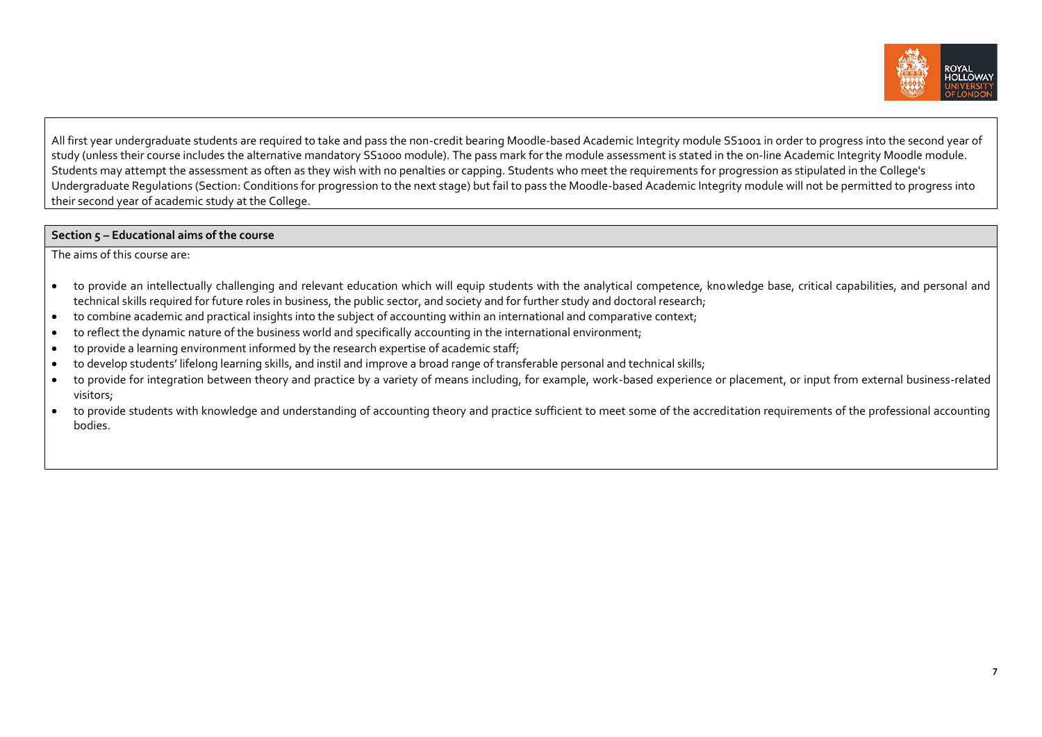

All first year undergraduate students are required to take and pass the non-credit bearing Moodle-based Academic Integrity module SS1001 in order to progress into the second year of study (unless their course includes the alternative mandatory SS1000 module). The pass mark for the module assessment is stated in the on-line Academic Integrity Moodle module. Students may attempt the assessment as often as they wish with no penalties or capping. Students who meet the requirements for progression as stipulated in the College's Undergraduate Regulations (Section: Conditions for progression to the next stage) but fail to pass the Moodle-based Academic Integrity module will not be permitted to progress into their second year of academic study at the College.

### **Section 5 – Educational aims of the course**

The aims of this course are:

- to provide an intellectually challenging and relevant education which will equip students with the analytical competence, knowledge base, critical capabilities, and personal and technical skills required for future roles in business, the public sector, and society and for further study and doctoral research;
- to combine academic and practical insights into the subject of accounting within an international and comparative context;
- to reflect the dynamic nature of the business world and specifically accounting in the international environment;
- to provide a learning environment informed by the research expertise of academic staff;
- to develop students' lifelong learning skills, and instil and improve a broad range of transferable personal and technical skills;
- to provide for integration between theory and practice by a variety of means including, for example, work-based experience or placement, or input from external business-related visitors;
- to provide students with knowledge and understanding of accounting theory and practice sufficient to meet some of the accreditation requirements of the professional accounting bodies.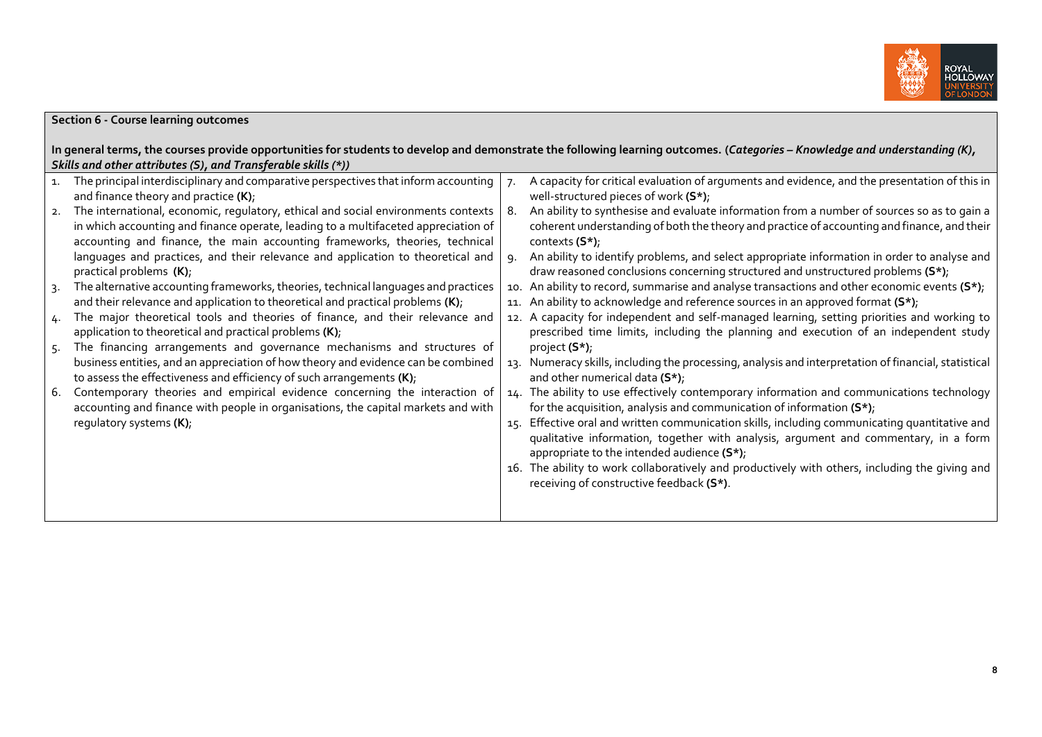

|                    | <b>Section 6 - Course learning outcomes</b>                                                                                                                                                                                                                                                                                                                                                                                                                                                                                                                                                 |                                                                                                                                                                                                                                                                                                                                                                                                                                                                                                                                                                                                                                                                                                                                   |
|--------------------|---------------------------------------------------------------------------------------------------------------------------------------------------------------------------------------------------------------------------------------------------------------------------------------------------------------------------------------------------------------------------------------------------------------------------------------------------------------------------------------------------------------------------------------------------------------------------------------------|-----------------------------------------------------------------------------------------------------------------------------------------------------------------------------------------------------------------------------------------------------------------------------------------------------------------------------------------------------------------------------------------------------------------------------------------------------------------------------------------------------------------------------------------------------------------------------------------------------------------------------------------------------------------------------------------------------------------------------------|
|                    |                                                                                                                                                                                                                                                                                                                                                                                                                                                                                                                                                                                             | In general terms, the courses provide opportunities for students to develop and demonstrate the following learning outcomes. (Categories - Knowledge and understanding (K),                                                                                                                                                                                                                                                                                                                                                                                                                                                                                                                                                       |
|                    | Skills and other attributes (S), and Transferable skills (*))                                                                                                                                                                                                                                                                                                                                                                                                                                                                                                                               |                                                                                                                                                                                                                                                                                                                                                                                                                                                                                                                                                                                                                                                                                                                                   |
| $\mathbf{1}$<br>3. | The principal interdisciplinary and comparative perspectives that inform accounting  <br>and finance theory and practice (K);<br>The international, economic, regulatory, ethical and social environments contexts<br>in which accounting and finance operate, leading to a multifaceted appreciation of<br>accounting and finance, the main accounting frameworks, theories, technical<br>languages and practices, and their relevance and application to theoretical and<br>practical problems (K);<br>The alternative accounting frameworks, theories, technical languages and practices | A capacity for critical evaluation of arguments and evidence, and the presentation of this in<br>well-structured pieces of work (S*);<br>An ability to synthesise and evaluate information from a number of sources so as to gain a<br>coherent understanding of both the theory and practice of accounting and finance, and their<br>contexts $(S^*)$ ;<br>An ability to identify problems, and select appropriate information in order to analyse and<br>draw reasoned conclusions concerning structured and unstructured problems (S*);<br>10. An ability to record, summarise and analyse transactions and other economic events $(S^*)$ ;<br>11. An ability to acknowledge and reference sources in an approved format (S*); |
| 4.<br>-5.          | and their relevance and application to theoretical and practical problems (K);<br>The major theoretical tools and theories of finance, and their relevance and<br>application to theoretical and practical problems $(K)$ ;<br>The financing arrangements and governance mechanisms and structures of<br>business entities, and an appreciation of how theory and evidence can be combined                                                                                                                                                                                                  | 12. A capacity for independent and self-managed learning, setting priorities and working to<br>prescribed time limits, including the planning and execution of an independent study<br>project $(S^*)$ ;<br>13. Numeracy skills, including the processing, analysis and interpretation of financial, statistical                                                                                                                                                                                                                                                                                                                                                                                                                  |
| 6.                 | to assess the effectiveness and efficiency of such arrangements $(K)$ ;<br>Contemporary theories and empirical evidence concerning the interaction of<br>accounting and finance with people in organisations, the capital markets and with<br>regulatory systems (K);                                                                                                                                                                                                                                                                                                                       | and other numerical data (S*);<br>14. The ability to use effectively contemporary information and communications technology<br>for the acquisition, analysis and communication of information $(S^*)$ ;<br>15. Effective oral and written communication skills, including communicating quantitative and<br>qualitative information, together with analysis, argument and commentary, in a form<br>appropriate to the intended audience (S*);<br>16. The ability to work collaboratively and productively with others, including the giving and<br>receiving of constructive feedback (S*).                                                                                                                                       |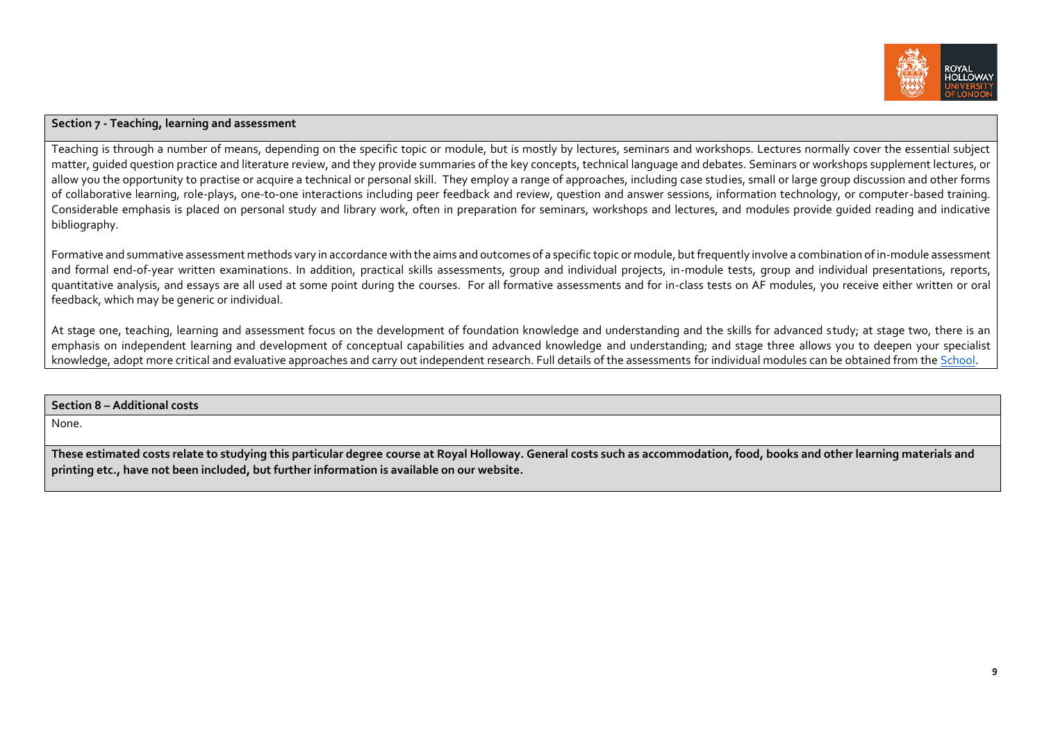

## **Section 7 - Teaching, learning and assessment**

Teaching is through a number of means, depending on the specific topic or module, but is mostly by lectures, seminars and workshops. Lectures normally cover the essential subject matter, guided question practice and literature review, and they provide summaries of the key concepts, technical language and debates. Seminars or workshops supplement lectures, or allow you the opportunity to practise or acquire a technical or personal skill. They employ a range of approaches, including case studies, small or large group discussion and other forms of collaborative learning, role-plays, one-to-one interactions including peer feedback and review, question and answer sessions, information technology, or computer-based training. Considerable emphasis is placed on personal study and library work, often in preparation for seminars, workshops and lectures, and modules provide guided reading and indicative bibliography.

Formative and summative assessment methods vary in accordance with the aims and outcomes of a specific topic or module, but frequently involve a combination of in-module assessment and formal end-of-year written examinations. In addition, practical skills assessments, group and individual exacts, group and individual presentations, reports, quantitative analysis, and essays are all used at some point during the courses. For all formative assessments and for in-class tests on AF modules, you receive either written or oral feedback, which may be generic or individual.

At stage one, teaching, learning and assessment focus on the development of foundation knowledge and understanding and the skills for advanced study; at stage two, there is an emphasis on independent learning and development of conceptual capabilities and advanced knowledge and understanding; and stage three allows you to deepen your specialist knowledge, adopt more critical and evaluative approaches and carry out independent research. Full details of the assessments for individual modules can be obtained from th[e School.](https://www.royalholloway.ac.uk/management/home.aspx)

#### **Section 8 – Additional costs**

None.

**These estimated costs relate to studying this particular degree course at Royal Holloway. General costs such as accommodation, food, books and other learning materials and printing etc., have not been included, but further information is available on our website.**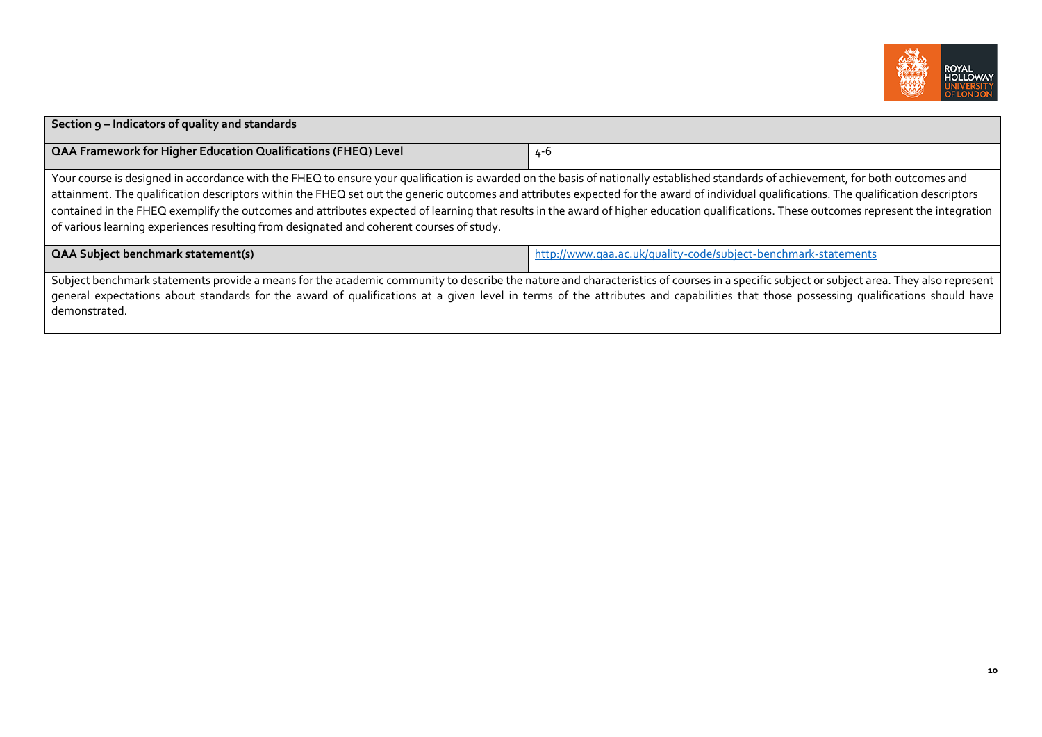

| Section 9 - Indicators of quality and standards                                                                                                                                                                                                                                                                                                                                                                                                                                                                                                                                                                                                                       |                                                                |  |  |  |
|-----------------------------------------------------------------------------------------------------------------------------------------------------------------------------------------------------------------------------------------------------------------------------------------------------------------------------------------------------------------------------------------------------------------------------------------------------------------------------------------------------------------------------------------------------------------------------------------------------------------------------------------------------------------------|----------------------------------------------------------------|--|--|--|
| <b>QAA Framework for Higher Education Qualifications (FHEQ) Level</b>                                                                                                                                                                                                                                                                                                                                                                                                                                                                                                                                                                                                 | 4-6                                                            |  |  |  |
| Your course is designed in accordance with the FHEQ to ensure your qualification is awarded on the basis of nationally established standards of achievement, for both outcomes and<br>attainment. The qualification descriptors within the FHEQ set out the generic outcomes and attributes expected for the award of individual qualifications. The qualification descriptors<br>contained in the FHEQ exemplify the outcomes and attributes expected of learning that results in the award of higher education qualifications. These outcomes represent the integration<br>of various learning experiences resulting from designated and coherent courses of study. |                                                                |  |  |  |
| <b>QAA Subject benchmark statement(s)</b>                                                                                                                                                                                                                                                                                                                                                                                                                                                                                                                                                                                                                             | http://www.qaa.ac.uk/quality-code/subject-benchmark-statements |  |  |  |
| Subject benchmark statements provide a means for the academic community to describe the nature and characteristics of courses in a specific subject or subject area. They also represent<br>general expectations about standards for the award of qualifications at a given level in terms of the attributes and capabilities that those possessing qualifications should have<br>demonstrated.                                                                                                                                                                                                                                                                       |                                                                |  |  |  |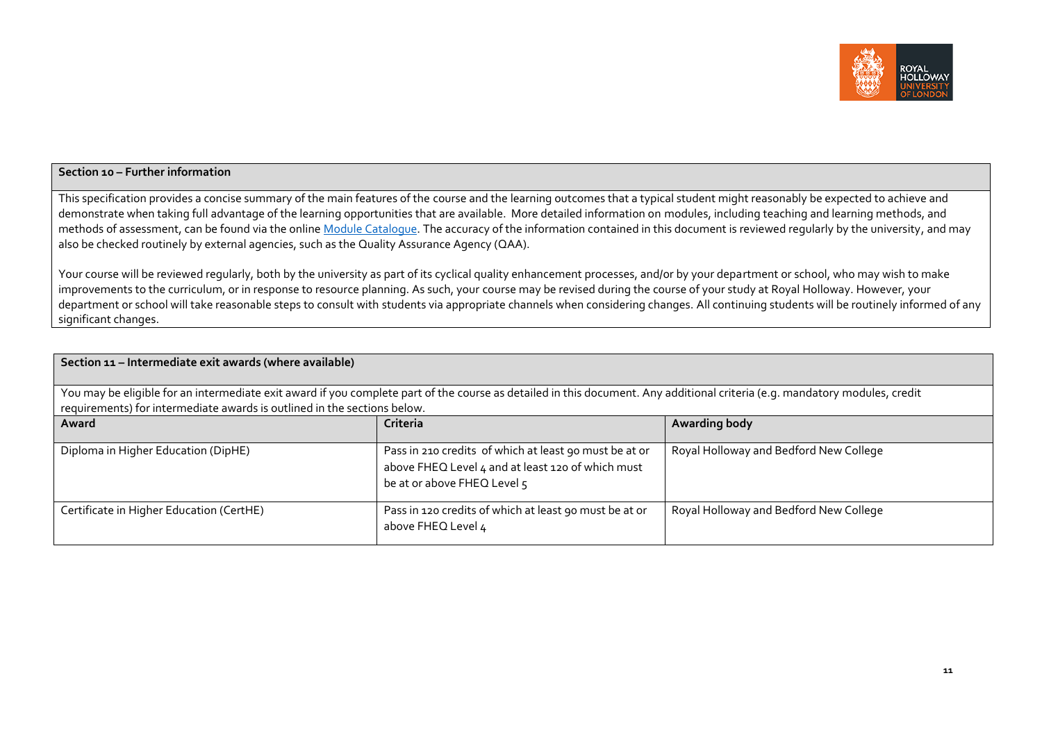

# **Section 10 – Further information**

This specification provides a concise summary of the main features of the course and the learning outcomes that a typical student might reasonably be expected to achieve and demonstrate when taking full advantage of the learning opportunities that are available. More detailed information on modules, including teaching and learning methods, and methods of assessment, can be found via the online Module [Catalogue.](http://banner-ssb.rhul.ac.uk/BANPROD/bwckctlg.p_disp_dyn_ctlg) The accuracy of the information contained in this document is reviewed regularly by the university, and may also be checked routinely by external agencies, such as the Quality Assurance Agency (QAA).

Your course will be reviewed regularly, both by the university as part of its cyclical quality enhancement processes, and/or by your department or school, who may wish to make improvements to the curriculum, or in response to resource planning. As such, your course may be revised during the course of your study at Royal Holloway. However, your department or school will take reasonable steps to consult with students via appropriate channels when considering changes. All continuing students will be routinely informed of any significant changes.

| Section 11 - Intermediate exit awards (where available)                                                                                                                                                                                                 |                                                                                                                                            |                                        |  |  |  |  |  |
|---------------------------------------------------------------------------------------------------------------------------------------------------------------------------------------------------------------------------------------------------------|--------------------------------------------------------------------------------------------------------------------------------------------|----------------------------------------|--|--|--|--|--|
| You may be eligible for an intermediate exit award if you complete part of the course as detailed in this document. Any additional criteria (e.g. mandatory modules, credit<br>requirements) for intermediate awards is outlined in the sections below. |                                                                                                                                            |                                        |  |  |  |  |  |
| Award                                                                                                                                                                                                                                                   | Criteria                                                                                                                                   | Awarding body                          |  |  |  |  |  |
| Diploma in Higher Education (DipHE)                                                                                                                                                                                                                     | Pass in 210 credits of which at least 90 must be at or<br>above FHEQ Level 4 and at least 120 of which must<br>be at or above FHEQ Level 5 | Royal Holloway and Bedford New College |  |  |  |  |  |
| Certificate in Higher Education (CertHE)                                                                                                                                                                                                                | Pass in 120 credits of which at least 90 must be at or<br>above FHEQ Level 4                                                               | Royal Holloway and Bedford New College |  |  |  |  |  |